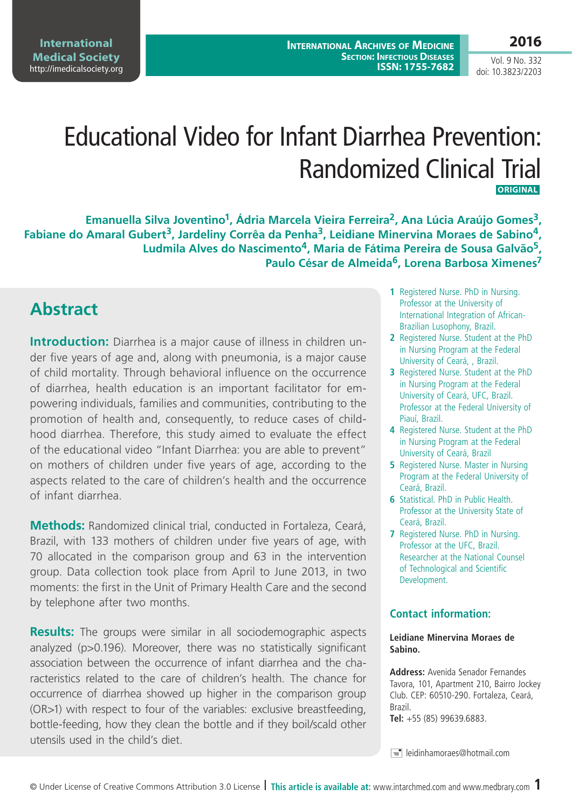Vol. 9 No. 332 doi: 10.3823/2203

# Educational Video for Infant Diarrhea Prevention: Randomized Clinical Trial **ORIGINAL**

Emanuella Silva Joventino<sup>1</sup>, Ádria Marcela Vieira Ferreira<sup>2</sup>, Ana Lúcia Araújo Gomes<sup>3</sup>, **Fabiane do Amaral Gubert3, Jardeliny Corrêa da Penha3, Leidiane Minervina Moraes de Sabino4, Ludmila Alves do Nascimento4, Maria de Fátima Pereira de Sousa Galvão5, Paulo César de Almeida6, Lorena Barbosa Ximenes7**

# **Abstract**

**Introduction:** Diarrhea is a major cause of illness in children under five years of age and, along with pneumonia, is a major cause of child mortality. Through behavioral influence on the occurrence of diarrhea, health education is an important facilitator for empowering individuals, families and communities, contributing to the promotion of health and, consequently, to reduce cases of childhood diarrhea. Therefore, this study aimed to evaluate the effect of the educational video "Infant Diarrhea: you are able to prevent" on mothers of children under five years of age, according to the aspects related to the care of children's health and the occurrence of infant diarrhea.

**Methods:** Randomized clinical trial, conducted in Fortaleza, Ceará, Brazil, with 133 mothers of children under five years of age, with 70 allocated in the comparison group and 63 in the intervention group. Data collection took place from April to June 2013, in two moments: the first in the Unit of Primary Health Care and the second by telephone after two months.

**Results:** The groups were similar in all sociodemographic aspects analyzed (p>0.196). Moreover, there was no statistically significant association between the occurrence of infant diarrhea and the characteristics related to the care of children's health. The chance for occurrence of diarrhea showed up higher in the comparison group (OR>1) with respect to four of the variables: exclusive breastfeeding, bottle-feeding, how they clean the bottle and if they boil/scald other utensils used in the child's diet.

- **1** Registered Nurse. PhD in Nursing. Professor at the University of International Integration of African-Brazilian Lusophony, Brazil.
- **2** Registered Nurse. Student at the PhD in Nursing Program at the Federal University of Ceará, , Brazil.
- **3** Registered Nurse. Student at the PhD in Nursing Program at the Federal University of Ceará, UFC, Brazil. Professor at the Federal University of Piauí, Brazil.
- **4** Registered Nurse. Student at the PhD in Nursing Program at the Federal University of Ceará, Brazil
- **5** Registered Nurse. Master in Nursing Program at the Federal University of Ceará, Brazil.
- **6** Statistical. PhD in Public Health. Professor at the University State of Ceará, Brazil.
- **7** Registered Nurse. PhD in Nursing. Professor at the UFC, Brazil. Researcher at the National Counsel of Technological and Scientific Development.

### **Contact information:**

#### **Leidiane Minervina Moraes de Sabino.**

**Address:** Avenida Senador Fernandes Tavora, 101, Apartment 210, Bairro Jockey Club. CEP: 60510-290. Fortaleza, Ceará, Brazil. **Tel:** +55 (85) 99639.6883.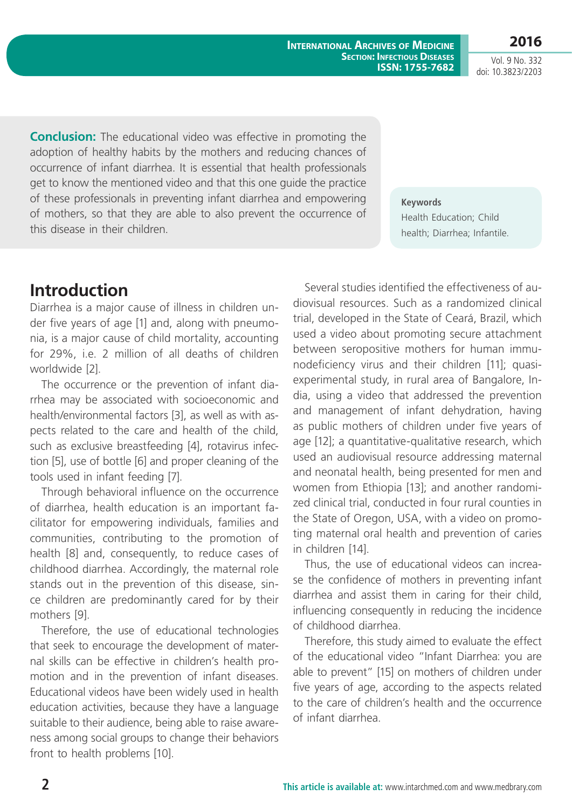Vol. 9 No. 332 doi: 10.3823/2203

**2016**

**Conclusion:** The educational video was effective in promoting the adoption of healthy habits by the mothers and reducing chances of occurrence of infant diarrhea. It is essential that health professionals get to know the mentioned video and that this one guide the practice of these professionals in preventing infant diarrhea and empowering of mothers, so that they are able to also prevent the occurrence of this disease in their children.

**Keywords**

Health Education; Child health; Diarrhea; Infantile.

## **Introduction**

Diarrhea is a major cause of illness in children under five years of age [1] and, along with pneumonia, is a major cause of child mortality, accounting for 29%, i.e. 2 million of all deaths of children worldwide [2].

The occurrence or the prevention of infant diarrhea may be associated with socioeconomic and health/environmental factors [3], as well as with aspects related to the care and health of the child, such as exclusive breastfeeding [4], rotavirus infection [5], use of bottle [6] and proper cleaning of the tools used in infant feeding [7].

Through behavioral influence on the occurrence of diarrhea, health education is an important facilitator for empowering individuals, families and communities, contributing to the promotion of health [8] and, consequently, to reduce cases of childhood diarrhea. Accordingly, the maternal role stands out in the prevention of this disease, since children are predominantly cared for by their mothers [9].

Therefore, the use of educational technologies that seek to encourage the development of maternal skills can be effective in children's health promotion and in the prevention of infant diseases. Educational videos have been widely used in health education activities, because they have a language suitable to their audience, being able to raise awareness among social groups to change their behaviors front to health problems [10].

Several studies identified the effectiveness of audiovisual resources. Such as a randomized clinical trial, developed in the State of Ceará, Brazil, which used a video about promoting secure attachment between seropositive mothers for human immunodeficiency virus and their children [11]; quasiexperimental study, in rural area of Bangalore, India, using a video that addressed the prevention and management of infant dehydration, having as public mothers of children under five years of age [12]; a quantitative-qualitative research, which used an audiovisual resource addressing maternal and neonatal health, being presented for men and women from Ethiopia [13]; and another randomized clinical trial, conducted in four rural counties in the State of Oregon, USA, with a video on promoting maternal oral health and prevention of caries in children [14].

Thus, the use of educational videos can increase the confidence of mothers in preventing infant diarrhea and assist them in caring for their child, influencing consequently in reducing the incidence of childhood diarrhea.

Therefore, this study aimed to evaluate the effect of the educational video "Infant Diarrhea: you are able to prevent" [15] on mothers of children under five years of age, according to the aspects related to the care of children's health and the occurrence of infant diarrhea.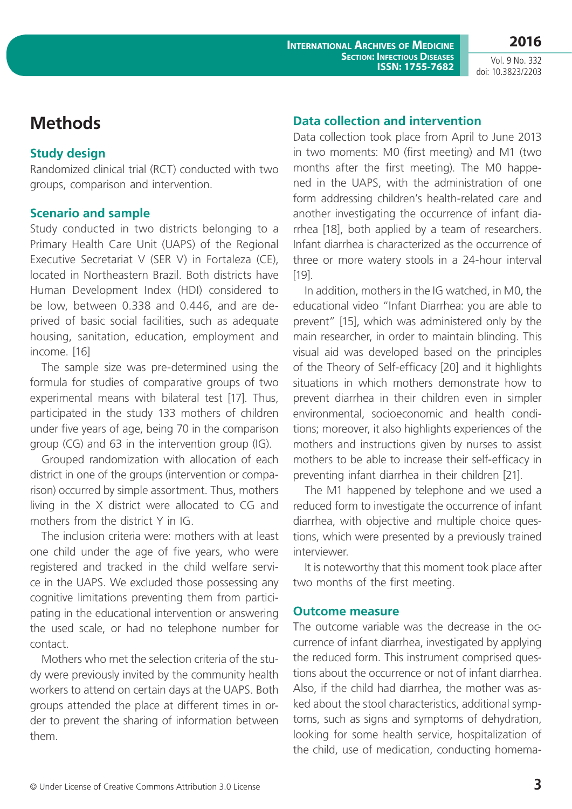Vol. 9 No. 332 doi: 10.3823/2203

**2016**

### **Methods**

#### **Study design**

Randomized clinical trial (RCT) conducted with two groups, comparison and intervention.

#### **Scenario and sample**

Study conducted in two districts belonging to a Primary Health Care Unit (UAPS) of the Regional Executive Secretariat V (SER V) in Fortaleza (CE), located in Northeastern Brazil. Both districts have Human Development Index (HDI) considered to be low, between 0.338 and 0.446, and are deprived of basic social facilities, such as adequate housing, sanitation, education, employment and income. [16]

The sample size was pre-determined using the formula for studies of comparative groups of two experimental means with bilateral test [17]. Thus, participated in the study 133 mothers of children under five years of age, being 70 in the comparison group (CG) and 63 in the intervention group (IG).

Grouped randomization with allocation of each district in one of the groups (intervention or comparison) occurred by simple assortment. Thus, mothers living in the X district were allocated to CG and mothers from the district Y in IG.

The inclusion criteria were: mothers with at least one child under the age of five years, who were registered and tracked in the child welfare service in the UAPS. We excluded those possessing any cognitive limitations preventing them from participating in the educational intervention or answering the used scale, or had no telephone number for contact.

Mothers who met the selection criteria of the study were previously invited by the community health workers to attend on certain days at the UAPS. Both groups attended the place at different times in order to prevent the sharing of information between them.

#### **Data collection and intervention**

Data collection took place from April to June 2013 in two moments: M0 (first meeting) and M1 (two months after the first meeting). The M0 happened in the UAPS, with the administration of one form addressing children's health-related care and another investigating the occurrence of infant diarrhea [18], both applied by a team of researchers. Infant diarrhea is characterized as the occurrence of three or more watery stools in a 24-hour interval [19].

In addition, mothers in the IG watched, in M0, the educational video "Infant Diarrhea: you are able to prevent" [15], which was administered only by the main researcher, in order to maintain blinding. This visual aid was developed based on the principles of the Theory of Self-efficacy [20] and it highlights situations in which mothers demonstrate how to prevent diarrhea in their children even in simpler environmental, socioeconomic and health conditions; moreover, it also highlights experiences of the mothers and instructions given by nurses to assist mothers to be able to increase their self-efficacy in preventing infant diarrhea in their children [21].

The M1 happened by telephone and we used a reduced form to investigate the occurrence of infant diarrhea, with objective and multiple choice questions, which were presented by a previously trained interviewer.

It is noteworthy that this moment took place after two months of the first meeting.

#### **Outcome measure**

The outcome variable was the decrease in the occurrence of infant diarrhea, investigated by applying the reduced form. This instrument comprised questions about the occurrence or not of infant diarrhea. Also, if the child had diarrhea, the mother was asked about the stool characteristics, additional symptoms, such as signs and symptoms of dehydration, looking for some health service, hospitalization of the child, use of medication, conducting homema-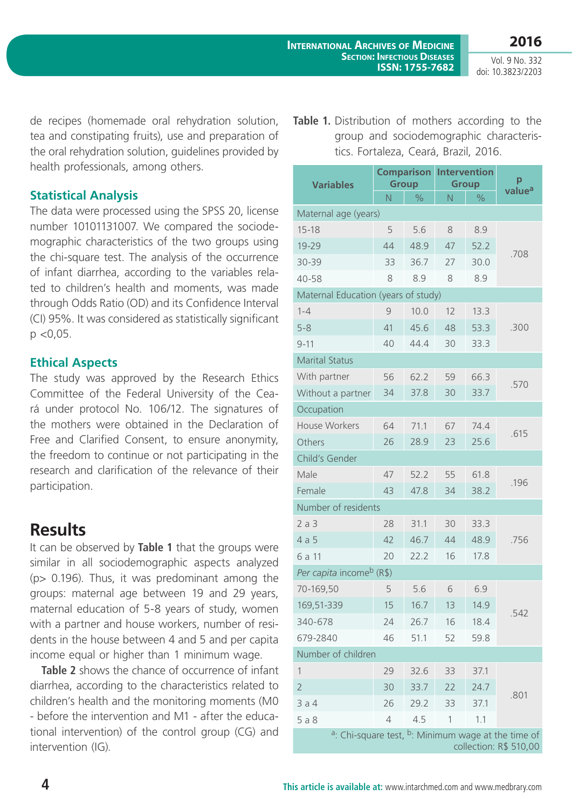Vol. 9 No. 332 doi: 10.3823/2203

de recipes (homemade oral rehydration solution, tea and constipating fruits), use and preparation of the oral rehydration solution, guidelines provided by health professionals, among others.

#### **Statistical Analysis**

The data were processed using the SPSS 20, license number 10101131007. We compared the sociodemographic characteristics of the two groups using the chi-square test. The analysis of the occurrence of infant diarrhea, according to the variables related to children's health and moments, was made through Odds Ratio (OD) and its Confidence Interval (CI) 95%. It was considered as statistically significant  $p$  < 0.05.

### **Ethical Aspects**

The study was approved by the Research Ethics Committee of the Federal University of the Ceará under protocol No. 106/12. The signatures of the mothers were obtained in the Declaration of Free and Clarified Consent, to ensure anonymity, the freedom to continue or not participating in the research and clarification of the relevance of their participation.

## **Results**

It can be observed by **Table 1** that the groups were similar in all sociodemographic aspects analyzed (p> 0.196). Thus, it was predominant among the groups: maternal age between 19 and 29 years, maternal education of 5-8 years of study, women with a partner and house workers, number of residents in the house between 4 and 5 and per capita income equal or higher than 1 minimum wage.

**Table 2** shows the chance of occurrence of infant diarrhea, according to the characteristics related to children's health and the monitoring moments (M0 - before the intervention and M1 - after the educational intervention) of the control group (CG) and intervention (IG).

Table 1. Distribution of mothers according to the group and sociodemographic characteristics. Fortaleza, Ceará, Brazil, 2016.

| <b>Variables</b>                                                                                     | <b>Comparison</b><br><b>Group</b> |               | <b>Intervention</b><br><b>Group</b> |               | p                  |  |  |  |  |  |
|------------------------------------------------------------------------------------------------------|-----------------------------------|---------------|-------------------------------------|---------------|--------------------|--|--|--|--|--|
|                                                                                                      | N                                 | $\frac{1}{2}$ | N                                   | $\frac{0}{0}$ | value <sup>a</sup> |  |  |  |  |  |
| Maternal age (years)                                                                                 |                                   |               |                                     |               |                    |  |  |  |  |  |
| $15 - 18$                                                                                            | 5                                 | 5.6           | 8                                   | 8.9           | .708               |  |  |  |  |  |
| 19-29                                                                                                | 44                                | 48.9          | 47                                  | 52.2          |                    |  |  |  |  |  |
| 30-39                                                                                                | 33                                | 36.7          | 27                                  | 30.0          |                    |  |  |  |  |  |
| 40-58                                                                                                | 8                                 | 8.9           | 8                                   | 8.9           |                    |  |  |  |  |  |
| Maternal Education (years of study)                                                                  |                                   |               |                                     |               |                    |  |  |  |  |  |
| $1 - 4$                                                                                              | 9                                 | 10.0          | 12                                  | 13.3          | .300               |  |  |  |  |  |
| $5 - 8$                                                                                              | 41                                | 45.6          | 48                                  | 53.3          |                    |  |  |  |  |  |
| $9 - 11$                                                                                             | 40                                | 44.4          | 30                                  | 33.3          |                    |  |  |  |  |  |
| <b>Marital Status</b>                                                                                |                                   |               |                                     |               |                    |  |  |  |  |  |
| With partner                                                                                         | 56                                | 62.2          | 59                                  | 66.3          |                    |  |  |  |  |  |
| Without a partner                                                                                    | 34                                | 37.8          | 30                                  | 33.7          | .570               |  |  |  |  |  |
| Occupation                                                                                           |                                   |               |                                     |               |                    |  |  |  |  |  |
| <b>House Workers</b>                                                                                 | 64                                | 71.1          | 67                                  | 74.4          |                    |  |  |  |  |  |
| Others                                                                                               | 26                                | 28.9          | 23                                  | 25.6          | .615               |  |  |  |  |  |
| Child's Gender                                                                                       |                                   |               |                                     |               |                    |  |  |  |  |  |
| Male                                                                                                 | 47                                | 52.2          | 55                                  | 61.8          |                    |  |  |  |  |  |
| Female                                                                                               | 43                                | 47.8          | 34                                  | 38.2          | .196               |  |  |  |  |  |
| Number of residents                                                                                  |                                   |               |                                     |               |                    |  |  |  |  |  |
| 2a3                                                                                                  | 28                                | 31.1          | 30                                  | 33.3          |                    |  |  |  |  |  |
| 4a5                                                                                                  | 42                                | 46.7          | 44                                  | 48.9          | .756               |  |  |  |  |  |
| 6 a 11                                                                                               | 20                                | 22.2          | 16                                  | 17.8          |                    |  |  |  |  |  |
| Per capita income <sup>b</sup> (R\$)                                                                 |                                   |               |                                     |               |                    |  |  |  |  |  |
| 70-169,50                                                                                            | 5                                 | 5.6           | 6                                   | 6.9           | .542               |  |  |  |  |  |
| 169,51-339                                                                                           | 15                                | 16.7          | 13                                  | 14.9          |                    |  |  |  |  |  |
| 340-678                                                                                              | 24                                | 26.7          | 16                                  | 18.4          |                    |  |  |  |  |  |
| 679-2840                                                                                             | 46                                | 51.1          | 52                                  | 59.8          |                    |  |  |  |  |  |
| Number of children                                                                                   |                                   |               |                                     |               |                    |  |  |  |  |  |
| 1                                                                                                    | 29                                | 32.6          | 33                                  | 37.1          |                    |  |  |  |  |  |
| $\overline{2}$                                                                                       | 30                                | 33.7          | 22                                  | 24.7          | .801               |  |  |  |  |  |
| 3a4                                                                                                  | 26                                | 29.2          | 33                                  | 37.1          |                    |  |  |  |  |  |
| 5a8                                                                                                  | $\overline{4}$                    | 4.5           | 1                                   | 1.1           |                    |  |  |  |  |  |
| <sup>a</sup> : Chi-square test, <sup>b</sup> : Minimum wage at the time of<br>collection: R\$ 510,00 |                                   |               |                                     |               |                    |  |  |  |  |  |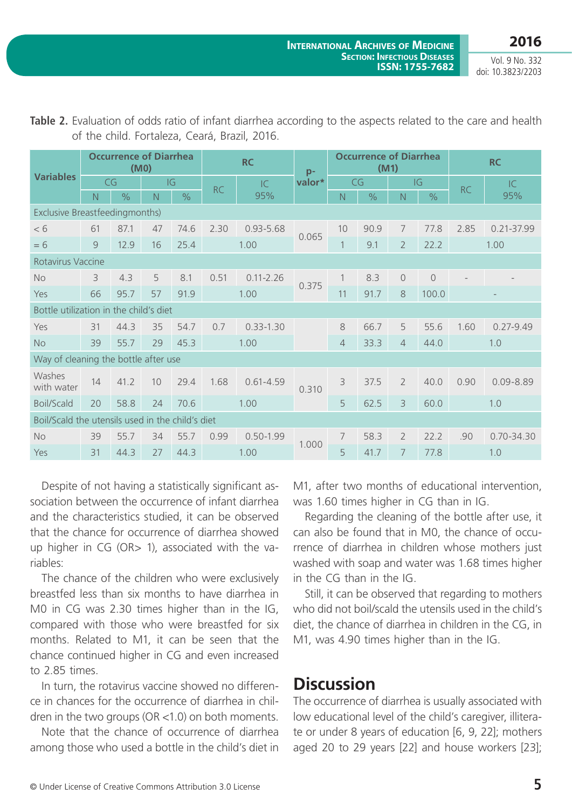Vol. 9 No. 332 doi: 10.3823/2203

| <b>Variables</b>                                 | <b>Occurrence of Diarrhea</b><br>(M <sub>0</sub> ) |               |    | <b>RC</b>     |           | $p-$          | <b>Occurrence of Diarrhea</b><br>(M1) |                |               |                | <b>RC</b>     |           |                |
|--------------------------------------------------|----------------------------------------------------|---------------|----|---------------|-----------|---------------|---------------------------------------|----------------|---------------|----------------|---------------|-----------|----------------|
|                                                  | CG                                                 |               |    | IG            | <b>RC</b> | IC            | valor*                                | CG             |               | IG             |               | <b>RC</b> | IC.            |
|                                                  | N                                                  | $\frac{0}{0}$ | N  | $\frac{0}{0}$ |           | 95%           |                                       | $\overline{N}$ | $\frac{1}{2}$ | N              | $\frac{0}{0}$ |           | 95%            |
| <b>Exclusive Breastfeedingmonths)</b>            |                                                    |               |    |               |           |               |                                       |                |               |                |               |           |                |
| < 6                                              | 61                                                 | 87.1          | 47 | 74.6          | 2.30      | $0.93 - 5.68$ | 0.065                                 | 10             | 90.9          | 7              | 77.8          | 2.85      | $0.21 - 37.99$ |
| $= 6$                                            | 9                                                  | 12.9          | 16 | 25.4          | 1.00      |               |                                       | 1              | 9.1           | $\overline{2}$ | 22.2          | 1.00      |                |
| Rotavirus Vaccine                                |                                                    |               |    |               |           |               |                                       |                |               |                |               |           |                |
| <b>No</b>                                        | 3                                                  | 4.3           | 5  | 8.1           | 0.51      | $0.11 - 2.26$ | 0.375                                 | $\mathbf{1}$   | 8.3           | $\overline{O}$ | $\bigcap$     |           |                |
| Yes                                              | 66                                                 | 95.7          | 57 | 91.9          |           | 1.00          |                                       | 11             | 91.7          | 8              | 100.0         |           |                |
| Bottle utilization in the child's diet           |                                                    |               |    |               |           |               |                                       |                |               |                |               |           |                |
| Yes                                              | 31                                                 | 44.3          | 35 | 54.7          | 0.7       | $0.33 - 1.30$ |                                       | 8              | 66.7          | 5              | 55.6          | 1.60      | $0.27 - 9.49$  |
| <b>No</b>                                        | 39                                                 | 55.7          | 29 | 45.3          | 1.00      |               |                                       | $\overline{4}$ | 33.3          | $\overline{4}$ | 44.0          | 1.0       |                |
| Way of cleaning the bottle after use             |                                                    |               |    |               |           |               |                                       |                |               |                |               |           |                |
| Washes<br>with water                             | 14                                                 | 41.2          | 10 | 29.4          | 1.68      | $0.61 - 4.59$ | 0.310                                 | 3              | 37.5          | $\overline{2}$ | 40.0          | 0.90      | $0.09 - 8.89$  |
| <b>Boil/Scald</b>                                | 20                                                 | 58.8          | 24 | 70.6          | 1.00      |               |                                       | 5              | 62.5          | 3              | 60.0          |           | 1.0            |
| Boil/Scald the utensils used in the child's diet |                                                    |               |    |               |           |               |                                       |                |               |                |               |           |                |
| <b>No</b>                                        | 39                                                 | 55.7          | 34 | 55.7          | 0.99      | $0.50 - 1.99$ | 1.000                                 | 7              | 58.3          | $\overline{2}$ | 22.2          | .90       | $0.70 - 34.30$ |
| Yes                                              | 31                                                 | 44.3          | 27 | 44.3          |           | 1.00          |                                       | 5              | 41.7          | 7              | 77.8          |           | 1.0            |

**Table 2.** Evaluation of odds ratio of infant diarrhea according to the aspects related to the care and health of the child. Fortaleza, Ceará, Brazil, 2016.

Despite of not having a statistically significant association between the occurrence of infant diarrhea and the characteristics studied, it can be observed that the chance for occurrence of diarrhea showed up higher in CG (OR> 1), associated with the variables:

The chance of the children who were exclusively breastfed less than six months to have diarrhea in M0 in CG was 2.30 times higher than in the IG, compared with those who were breastfed for six months. Related to M1, it can be seen that the chance continued higher in CG and even increased to 2.85 times.

In turn, the rotavirus vaccine showed no difference in chances for the occurrence of diarrhea in children in the two groups (OR <1.0) on both moments.

Note that the chance of occurrence of diarrhea among those who used a bottle in the child's diet in M1, after two months of educational intervention, was 1.60 times higher in CG than in IG.

Regarding the cleaning of the bottle after use, it can also be found that in M0, the chance of occurrence of diarrhea in children whose mothers just washed with soap and water was 1.68 times higher in the CG than in the IG.

Still, it can be observed that regarding to mothers who did not boil/scald the utensils used in the child's diet, the chance of diarrhea in children in the CG, in M1, was 4.90 times higher than in the IG.

## **Discussion**

The occurrence of diarrhea is usually associated with low educational level of the child's caregiver, illiterate or under 8 years of education [6, 9, 22]; mothers aged 20 to 29 years [22] and house workers [23];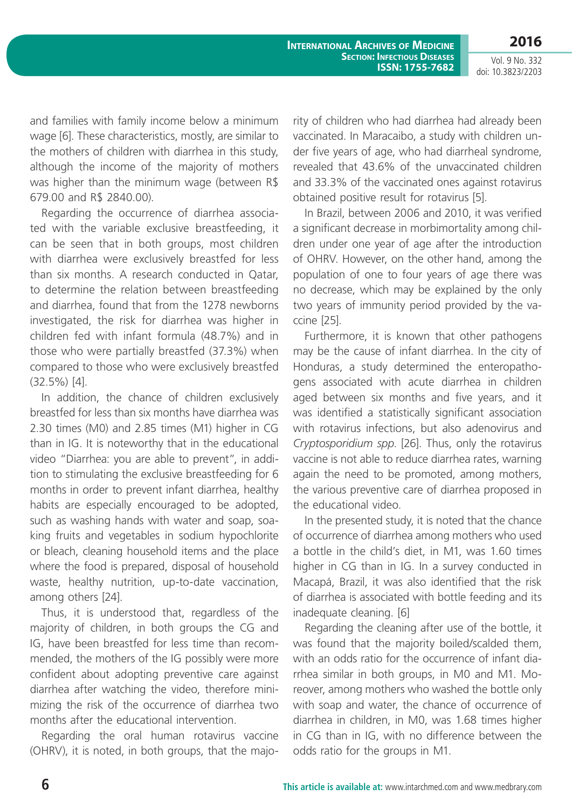Vol. 9 No. 332 doi: 10.3823/2203

**2016**

and families with family income below a minimum wage [6]. These characteristics, mostly, are similar to the mothers of children with diarrhea in this study, although the income of the majority of mothers was higher than the minimum wage (between R\$ 679.00 and R\$ 2840.00).

Regarding the occurrence of diarrhea associated with the variable exclusive breastfeeding, it can be seen that in both groups, most children with diarrhea were exclusively breastfed for less than six months. A research conducted in Qatar, to determine the relation between breastfeeding and diarrhea, found that from the 1278 newborns investigated, the risk for diarrhea was higher in children fed with infant formula (48.7%) and in those who were partially breastfed (37.3%) when compared to those who were exclusively breastfed (32.5%) [4].

In addition, the chance of children exclusively breastfed for less than six months have diarrhea was 2.30 times (M0) and 2.85 times (M1) higher in CG than in IG. It is noteworthy that in the educational video "Diarrhea: you are able to prevent", in addition to stimulating the exclusive breastfeeding for 6 months in order to prevent infant diarrhea, healthy habits are especially encouraged to be adopted, such as washing hands with water and soap, soaking fruits and vegetables in sodium hypochlorite or bleach, cleaning household items and the place where the food is prepared, disposal of household waste, healthy nutrition, up-to-date vaccination, among others [24].

Thus, it is understood that, regardless of the majority of children, in both groups the CG and IG, have been breastfed for less time than recommended, the mothers of the IG possibly were more confident about adopting preventive care against diarrhea after watching the video, therefore minimizing the risk of the occurrence of diarrhea two months after the educational intervention.

Regarding the oral human rotavirus vaccine (OHRV), it is noted, in both groups, that the majority of children who had diarrhea had already been vaccinated. In Maracaibo, a study with children under five years of age, who had diarrheal syndrome, revealed that 43.6% of the unvaccinated children and 33.3% of the vaccinated ones against rotavirus obtained positive result for rotavirus [5].

In Brazil, between 2006 and 2010, it was verified a significant decrease in morbimortality among children under one year of age after the introduction of OHRV. However, on the other hand, among the population of one to four years of age there was no decrease, which may be explained by the only two years of immunity period provided by the vaccine [25].

Furthermore, it is known that other pathogens may be the cause of infant diarrhea. In the city of Honduras, a study determined the enteropathogens associated with acute diarrhea in children aged between six months and five years, and it was identified a statistically significant association with rotavirus infections, but also adenovirus and *Cryptosporidium spp*. [26]. Thus, only the rotavirus vaccine is not able to reduce diarrhea rates, warning again the need to be promoted, among mothers, the various preventive care of diarrhea proposed in the educational video.

In the presented study, it is noted that the chance of occurrence of diarrhea among mothers who used a bottle in the child's diet, in M1, was 1.60 times higher in CG than in IG. In a survey conducted in Macapá, Brazil, it was also identified that the risk of diarrhea is associated with bottle feeding and its inadequate cleaning. [6]

Regarding the cleaning after use of the bottle, it was found that the majority boiled/scalded them, with an odds ratio for the occurrence of infant diarrhea similar in both groups, in M0 and M1. Moreover, among mothers who washed the bottle only with soap and water, the chance of occurrence of diarrhea in children, in M0, was 1.68 times higher in CG than in IG, with no difference between the odds ratio for the groups in M1.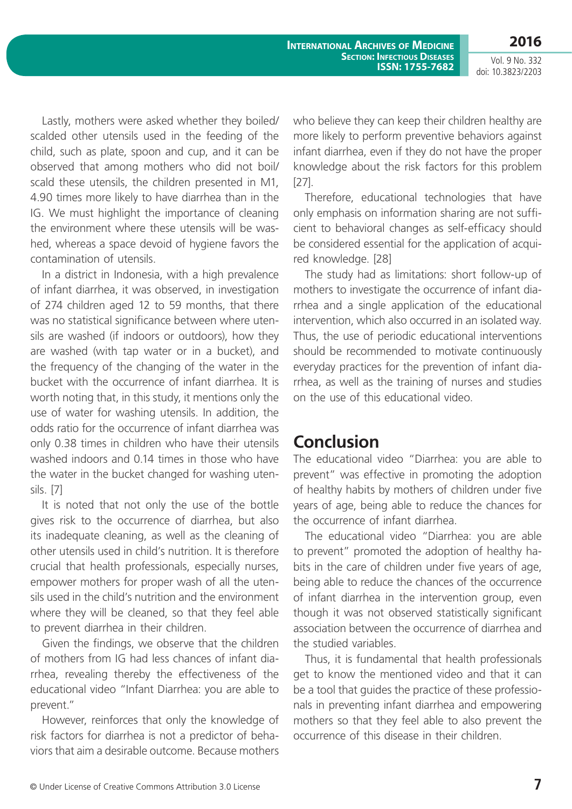**2016** Vol. 9 No. 332

doi: 10.3823/2203

Lastly, mothers were asked whether they boiled/ scalded other utensils used in the feeding of the child, such as plate, spoon and cup, and it can be observed that among mothers who did not boil/ scald these utensils, the children presented in M1, 4.90 times more likely to have diarrhea than in the IG. We must highlight the importance of cleaning the environment where these utensils will be washed, whereas a space devoid of hygiene favors the contamination of utensils.

In a district in Indonesia, with a high prevalence of infant diarrhea, it was observed, in investigation of 274 children aged 12 to 59 months, that there was no statistical significance between where utensils are washed (if indoors or outdoors), how they are washed (with tap water or in a bucket), and the frequency of the changing of the water in the bucket with the occurrence of infant diarrhea. It is worth noting that, in this study, it mentions only the use of water for washing utensils. In addition, the odds ratio for the occurrence of infant diarrhea was only 0.38 times in children who have their utensils washed indoors and 0.14 times in those who have the water in the bucket changed for washing utensils. [7]

It is noted that not only the use of the bottle gives risk to the occurrence of diarrhea, but also its inadequate cleaning, as well as the cleaning of other utensils used in child's nutrition. It is therefore crucial that health professionals, especially nurses, empower mothers for proper wash of all the utensils used in the child's nutrition and the environment where they will be cleaned, so that they feel able to prevent diarrhea in their children.

Given the findings, we observe that the children of mothers from IG had less chances of infant diarrhea, revealing thereby the effectiveness of the educational video "Infant Diarrhea: you are able to prevent."

However, reinforces that only the knowledge of risk factors for diarrhea is not a predictor of behaviors that aim a desirable outcome. Because mothers who believe they can keep their children healthy are more likely to perform preventive behaviors against infant diarrhea, even if they do not have the proper knowledge about the risk factors for this problem [27].

Therefore, educational technologies that have only emphasis on information sharing are not sufficient to behavioral changes as self-efficacy should be considered essential for the application of acquired knowledge. [28]

The study had as limitations: short follow-up of mothers to investigate the occurrence of infant diarrhea and a single application of the educational intervention, which also occurred in an isolated way. Thus, the use of periodic educational interventions should be recommended to motivate continuously everyday practices for the prevention of infant diarrhea, as well as the training of nurses and studies on the use of this educational video.

## **Conclusion**

The educational video "Diarrhea: you are able to prevent" was effective in promoting the adoption of healthy habits by mothers of children under five years of age, being able to reduce the chances for the occurrence of infant diarrhea.

The educational video "Diarrhea: you are able to prevent" promoted the adoption of healthy habits in the care of children under five years of age, being able to reduce the chances of the occurrence of infant diarrhea in the intervention group, even though it was not observed statistically significant association between the occurrence of diarrhea and the studied variables.

Thus, it is fundamental that health professionals get to know the mentioned video and that it can be a tool that guides the practice of these professionals in preventing infant diarrhea and empowering mothers so that they feel able to also prevent the occurrence of this disease in their children.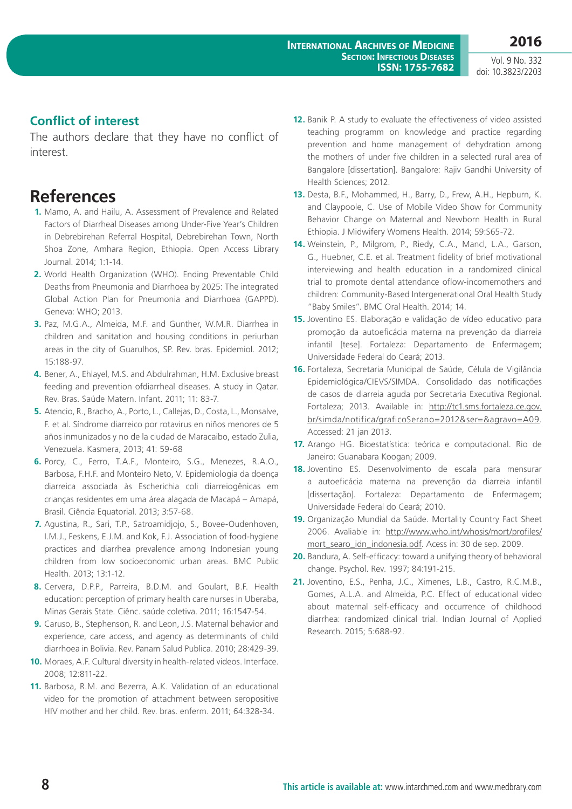Vol. 9 No. 332 doi: 10.3823/2203

#### **Conflict of interest**

The authors declare that they have no conflict of interest.

### **References**

- **1.** Mamo, A. and Hailu, A. Assessment of Prevalence and Related Factors of Diarrheal Diseases among Under-Five Year's Children in Debrebirehan Referral Hospital, Debrebirehan Town, North Shoa Zone, Amhara Region, Ethiopia. Open Access Library Journal. 2014; 1:1-14.
- **2.** World Health Organization (WHO). Ending Preventable Child Deaths from Pneumonia and Diarrhoea by 2025: The integrated Global Action Plan for Pneumonia and Diarrhoea (GAPPD). Geneva: WHO; 2013.
- **3.** Paz, M.G.A., Almeida, M.F. and Gunther, W.M.R. Diarrhea in children and sanitation and housing conditions in periurban areas in the city of Guarulhos, SP. Rev. bras. Epidemiol. 2012; 15:188-97.
- **4.** Bener, A., Ehlayel, M.S. and Abdulrahman, H.M. Exclusive breast feeding and prevention ofdiarrheal diseases. A study in Qatar. Rev. Bras. Saúde Matern. Infant. 2011; 11: 83-7.
- **5.** Atencio, R., Bracho, A., Porto, L., Callejas, D., Costa, L., Monsalve, F. et al. Síndrome diarreico por rotavirus en niños menores de 5 años inmunizados y no de la ciudad de Maracaibo, estado Zulia, Venezuela. Kasmera, 2013; 41: 59-68
- **6.** Porcy, C., Ferro, T.A.F., Monteiro, S.G., Menezes, R.A.O., Barbosa, F.H.F. and Monteiro Neto, V. Epidemiologia da doença diarreica associada às Escherichia coli diarreiogênicas em crianças residentes em uma área alagada de Macapá – Amapá, Brasil. Ciência Equatorial. 2013; 3:57-68.
- **7.** Agustina, R., Sari, T.P., Satroamidjojo, S., Bovee-Oudenhoven, I.M.J., Feskens, E.J.M. and Kok, F.J. Association of food-hygiene practices and diarrhea prevalence among Indonesian young children from low socioeconomic urban areas. BMC Public Health. 2013; 13:1-12.
- **8.** Cervera, D.P.P., Parreira, B.D.M. and Goulart, B.F. Health education: perception of primary health care nurses in Uberaba, Minas Gerais State. Ciênc. saúde coletiva. 2011; 16:1547-54.
- **9.** Caruso, B., Stephenson, R. and Leon, J.S. Maternal behavior and experience, care access, and agency as determinants of child diarrhoea in Bolivia. Rev. Panam Salud Publica. 2010; 28:429-39.
- **10.** Moraes, A.F. Cultural diversity in health-related videos. Interface. 2008; 12:811-22.
- **11.** Barbosa, R.M. and Bezerra, A.K. Validation of an educational video for the promotion of attachment between seropositive HIV mother and her child. Rev. bras. enferm. 2011; 64:328-34.
- **12.** Banik P. A study to evaluate the effectiveness of video assisted teaching programm on knowledge and practice regarding prevention and home management of dehydration among the mothers of under five children in a selected rural area of Bangalore [dissertation]. Bangalore: Rajiv Gandhi University of Health Sciences; 2012.
- **13.** Desta, B.F., Mohammed, H., Barry, D., Frew, A.H., Hepburn, K. and Claypoole, C. Use of Mobile Video Show for Community Behavior Change on Maternal and Newborn Health in Rural Ethiopia. J Midwifery Womens Health. 2014; 59:S65-72.
- **14.** Weinstein, P., Milgrom, P., Riedy, C.A., Mancl, L.A., Garson, G., Huebner, C.E. et al. Treatment fidelity of brief motivational interviewing and health education in a randomized clinical trial to promote dental attendance oflow-incomemothers and children: Community-Based Intergenerational Oral Health Study "Baby Smiles". BMC Oral Health. 2014; 14.
- **15.** Joventino ES. Elaboração e validação de vídeo educativo para promoção da autoeficácia materna na prevenção da diarreia infantil [tese]. Fortaleza: Departamento de Enfermagem; Universidade Federal do Ceará; 2013.
- **16.** Fortaleza, Secretaria Municipal de Saúde, Célula de Vigilância Epidemiológica/CIEVS/SIMDA. Consolidado das notificações de casos de diarreia aguda por Secretaria Executiva Regional. Fortaleza; 2013. Available in: [http://tc1.sms.fortaleza.ce.gov.](http://tc1.sms.fortaleza.ce.gov.br/simda/notifica/graficoSerano=2012&ser=&agravo=A09) [br/simda/notifica/graficoSerano=2012&ser=&agravo=A09.](http://tc1.sms.fortaleza.ce.gov.br/simda/notifica/graficoSerano=2012&ser=&agravo=A09) Accessed: 21 jan 2013.
- **17.** Arango HG. Bioestatística: teórica e computacional. Rio de Janeiro: Guanabara Koogan; 2009.
- **18.** Joventino ES. Desenvolvimento de escala para mensurar a autoeficácia materna na prevenção da diarreia infantil [dissertação]. Fortaleza: Departamento de Enfermagem; Universidade Federal do Ceará; 2010.
- **19.** Organização Mundial da Saúde. Mortality Country Fact Sheet 2006. Avaliable in: [http://www.who.int/whosis/mort/profiles/](http://www.who.int/whosis/mort/profiles/mort_searo_idn_indonesia.pdf) [mort\\_searo\\_idn\\_indonesia.pdf.](http://www.who.int/whosis/mort/profiles/mort_searo_idn_indonesia.pdf) Acess in: 30 de sep. 2009.
- **20.** Bandura, A. Self-efficacy: toward a unifying theory of behavioral change. Psychol. Rev. 1997; 84:191-215.
- **21.** Joventino, E.S., Penha, J.C., Ximenes, L.B., Castro, R.C.M.B., Gomes, A.L.A. and Almeida, P.C. Effect of educational video about maternal self-efficacy and occurrence of childhood diarrhea: randomized clinical trial. Indian Journal of Applied Research. 2015; 5:688-92.